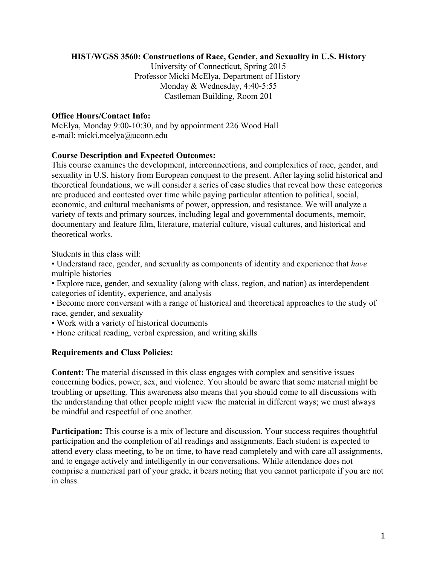#### **HIST/WGSS 3560: Constructions of Race, Gender, and Sexuality in U.S. History**

University of Connecticut, Spring 2015 Professor Micki McElya, Department of History Monday & Wednesday, 4:40-5:55 Castleman Building, Room 201

#### **Office Hours/Contact Info:**

McElya, Monday 9:00-10:30, and by appointment 226 Wood Hall e-mail: micki.mcelya@uconn.edu

#### **Course Description and Expected Outcomes:**

This course examines the development, interconnections, and complexities of race, gender, and sexuality in U.S. history from European conquest to the present. After laying solid historical and theoretical foundations, we will consider a series of case studies that reveal how these categories are produced and contested over time while paying particular attention to political, social, economic, and cultural mechanisms of power, oppression, and resistance. We will analyze a variety of texts and primary sources, including legal and governmental documents, memoir, documentary and feature film, literature, material culture, visual cultures, and historical and theoretical works.

Students in this class will:

- Understand race, gender, and sexuality as components of identity and experience that *have*  multiple histories
- Explore race, gender, and sexuality (along with class, region, and nation) as interdependent categories of identity, experience, and analysis
- Become more conversant with a range of historical and theoretical approaches to the study of race, gender, and sexuality
- Work with a variety of historical documents
- Hone critical reading, verbal expression, and writing skills

### **Requirements and Class Policies:**

**Content:** The material discussed in this class engages with complex and sensitive issues concerning bodies, power, sex, and violence. You should be aware that some material might be troubling or upsetting. This awareness also means that you should come to all discussions with the understanding that other people might view the material in different ways; we must always be mindful and respectful of one another.

**Participation:** This course is a mix of lecture and discussion. Your success requires thoughtful participation and the completion of all readings and assignments. Each student is expected to attend every class meeting, to be on time, to have read completely and with care all assignments, and to engage actively and intelligently in our conversations. While attendance does not comprise a numerical part of your grade, it bears noting that you cannot participate if you are not in class.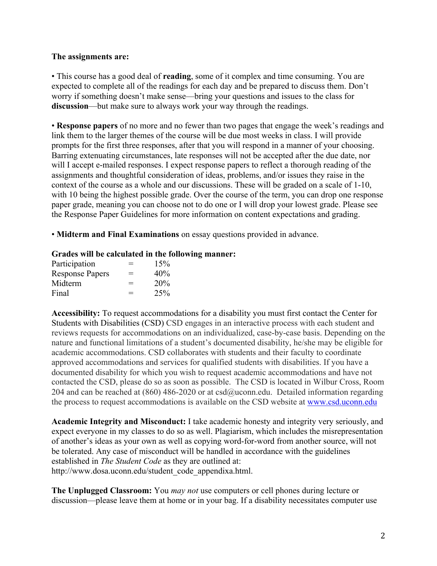#### **The assignments are:**

• This course has a good deal of **reading**, some of it complex and time consuming. You are expected to complete all of the readings for each day and be prepared to discuss them. Don't worry if something doesn't make sense—bring your questions and issues to the class for **discussion**—but make sure to always work your way through the readings.

• **Response papers** of no more and no fewer than two pages that engage the week's readings and link them to the larger themes of the course will be due most weeks in class. I will provide prompts for the first three responses, after that you will respond in a manner of your choosing. Barring extenuating circumstances, late responses will not be accepted after the due date, nor will I accept e-mailed responses. I expect response papers to reflect a thorough reading of the assignments and thoughtful consideration of ideas, problems, and/or issues they raise in the context of the course as a whole and our discussions. These will be graded on a scale of 1-10, with 10 being the highest possible grade. Over the course of the term, you can drop one response paper grade, meaning you can choose not to do one or I will drop your lowest grade. Please see the Response Paper Guidelines for more information on content expectations and grading.

• **Midterm and Final Examinations** on essay questions provided in advance.

#### **Grades will be calculated in the following manner:**

| Participation          | $=$ | 15% |
|------------------------|-----|-----|
| <b>Response Papers</b> | $=$ | 40% |
| Midterm                | $=$ | 20% |
| Final                  | $=$ | 25% |

**Accessibility:** To request accommodations for a disability you must first contact the Center for Students with Disabilities (CSD) CSD engages in an interactive process with each student and reviews requests for accommodations on an individualized, case-by-case basis. Depending on the nature and functional limitations of a student's documented disability, he/she may be eligible for academic accommodations. CSD collaborates with students and their faculty to coordinate approved accommodations and services for qualified students with disabilities. If you have a documented disability for which you wish to request academic accommodations and have not contacted the CSD, please do so as soon as possible. The CSD is located in Wilbur Cross, Room 204 and can be reached at (860) 486-2020 or at  $csd@uconn.edu$ . Detailed information regarding the process to request accommodations is available on the CSD website at www.csd.uconn.edu

**Academic Integrity and Misconduct:** I take academic honesty and integrity very seriously, and expect everyone in my classes to do so as well. Plagiarism, which includes the misrepresentation of another's ideas as your own as well as copying word-for-word from another source, will not be tolerated. Any case of misconduct will be handled in accordance with the guidelines established in *The Student Code* as they are outlined at: http://www.dosa.uconn.edu/student\_code\_appendixa.html.

**The Unplugged Classroom:** You *may not* use computers or cell phones during lecture or discussion—please leave them at home or in your bag. If a disability necessitates computer use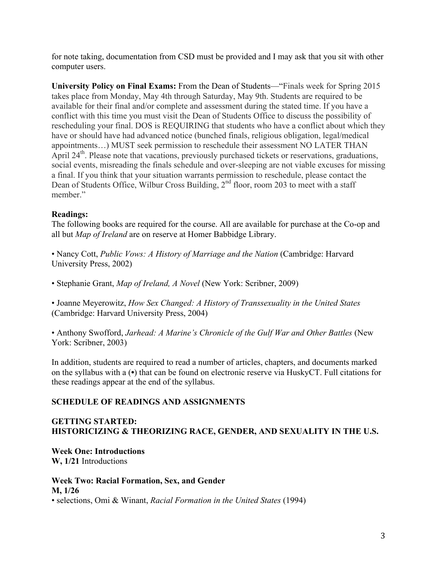for note taking, documentation from CSD must be provided and I may ask that you sit with other computer users.

**University Policy on Final Exams:** From the Dean of Students—"Finals week for Spring 2015 takes place from Monday, May 4th through Saturday, May 9th. Students are required to be available for their final and/or complete and assessment during the stated time. If you have a conflict with this time you must visit the Dean of Students Office to discuss the possibility of rescheduling your final. DOS is REQUIRING that students who have a conflict about which they have or should have had advanced notice (bunched finals, religious obligation, legal/medical appointments…) MUST seek permission to reschedule their assessment NO LATER THAN April 24<sup>th</sup>. Please note that vacations, previously purchased tickets or reservations, graduations, social events, misreading the finals schedule and over-sleeping are not viable excuses for missing a final. If you think that your situation warrants permission to reschedule, please contact the Dean of Students Office, Wilbur Cross Building, 2<sup>nd</sup> floor, room 203 to meet with a staff member."

### **Readings:**

The following books are required for the course. All are available for purchase at the Co-op and all but *Map of Ireland* are on reserve at Homer Babbidge Library.

- Nancy Cott, *Public Vows: A History of Marriage and the Nation* (Cambridge: Harvard University Press, 2002)
- Stephanie Grant, *Map of Ireland, A Novel* (New York: Scribner, 2009)

• Joanne Meyerowitz, *How Sex Changed: A History of Transsexuality in the United States*  (Cambridge: Harvard University Press, 2004)

• Anthony Swofford, *Jarhead: A Marine's Chronicle of the Gulf War and Other Battles* (New York: Scribner, 2003)

In addition, students are required to read a number of articles, chapters, and documents marked on the syllabus with a (**•**) that can be found on electronic reserve via HuskyCT. Full citations for these readings appear at the end of the syllabus.

## **SCHEDULE OF READINGS AND ASSIGNMENTS**

### **GETTING STARTED: HISTORICIZING & THEORIZING RACE, GENDER, AND SEXUALITY IN THE U.S.**

#### **Week One: Introductions W, 1/21** Introductions

#### **Week Two: Racial Formation, Sex, and Gender M, 1/26** • selections, Omi & Winant, *Racial Formation in the United States* (1994)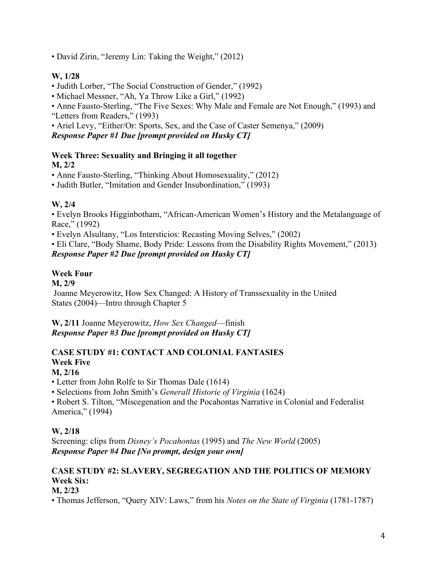• David Zirin, "Jeremy Lin: Taking the Weight," (2012)

## **W, 1/28**

- Judith Lorber, "The Social Construction of Gender," (1992)
- Michael Messner, "Ah, Ya Throw Like a Girl," (1992)
- Anne Fausto-Sterling, "The Five Sexes: Why Male and Female are Not Enough," (1993) and "Letters from Readers," (1993)
- Ariel Levy, "Either/Or: Sports, Sex, and the Case of Caster Semenya," (2009) *Response Paper #1 Due [prompt provided on Husky CT]*

### **Week Three: Sexuality and Bringing it all together M, 2/2**

• Anne Fausto-Sterling, "Thinking About Homosexuality," (2012)

• Judith Butler, "Imitation and Gender Insubordination," (1993)

# **W, 2/4**

• Evelyn Brooks Higginbotham, "African-American Women's History and the Metalanguage of Race," (1992)

• Evelyn Alsultany, "Los Intersticios: Recasting Moving Selves," (2002)

• Eli Clare, "Body Shame, Body Pride: Lessons from the Disability Rights Movement," (2013) *Response Paper #2 Due [prompt provided on Husky CT]*

# **Week Four**

**M, 2/9**

Joanne Meyerowitz, How Sex Changed: A History of Transsexuality in the United States (2004)—Intro through Chapter 5

**W, 2/11** Joanne Meyerowitz, *How Sex Changed*—finish *Response Paper #3 Due [prompt provided on Husky CT]*

# **CASE STUDY #1: CONTACT AND COLONIAL FANTASIES Week Five**

## **M, 2/16**

• Letter from John Rolfe to Sir Thomas Dale (1614)

• Selections from John Smith's *Generall Historie of Virginia* (1624)

• Robert S. Tilton, "Miscegenation and the Pocahontas Narrative in Colonial and Federalist America," (1994)

## **W, 2/18**

Screening: clips from *Disney's Pocahontas* (1995) and *The New World* (2005) *Response Paper #4 Due [No prompt, design your own]*

# **CASE STUDY #2: SLAVERY, SEGREGATION AND THE POLITICS OF MEMORY Week Six:**

### **M, 2/23**

• Thomas Jefferson, "Query XIV: Laws," from his *Notes on the State of Virginia* (1781-1787)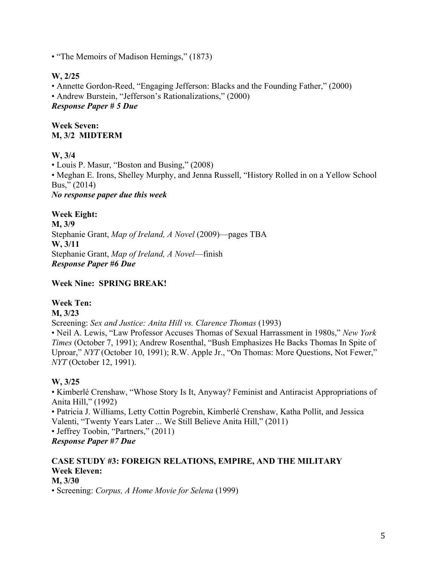• "The Memoirs of Madison Hemings," (1873)

## **W, 2/25**

• Annette Gordon-Reed, "Engaging Jefferson: Blacks and the Founding Father," (2000) • Andrew Burstein, "Jefferson's Rationalizations," (2000) *Response Paper # 5 Due*

### **Week Seven: M, 3/2 MIDTERM**

## **W, 3/4**

• Louis P. Masur, "Boston and Busing," (2008) • Meghan E. Irons, Shelley Murphy, and Jenna Russell, "History Rolled in on a Yellow School Bus," (2014) *No response paper due this week*

**Week Eight: M, 3/9** Stephanie Grant, *Map of Ireland, A Novel* (2009)—pages TBA **W, 3/11**  Stephanie Grant, *Map of Ireland, A Novel*—finish *Response Paper #6 Due*

**Week Nine: SPRING BREAK!**

## **Week Ten:**

**M, 3/23**

Screening: *Sex and Justice: Anita Hill vs. Clarence Thomas* (1993)

• Neil A. Lewis, "Law Professor Accuses Thomas of Sexual Harrassment in 1980s," *New York Times* (October 7, 1991); Andrew Rosenthal, "Bush Emphasizes He Backs Thomas In Spite of Uproar," *NYT* (October 10, 1991); R.W. Apple Jr., "On Thomas: More Questions, Not Fewer," *NYT* (October 12, 1991).

## **W, 3/25**

• Kimberlé Crenshaw, "Whose Story Is It, Anyway? Feminist and Antiracist Appropriations of Anita Hill," (1992)

• Patricia J. Williams, Letty Cottin Pogrebin, Kimberlé Crenshaw, Katha Pollit, and Jessica Valenti, "Twenty Years Later ... We Still Believe Anita Hill," (2011)

• Jeffrey Toobin, "Partners," (2011)

*Response Paper #7 Due*

#### **CASE STUDY #3: FOREIGN RELATIONS, EMPIRE, AND THE MILITARY Week Eleven: M, 3/30**

• Screening: *Corpus, A Home Movie for Selena* (1999)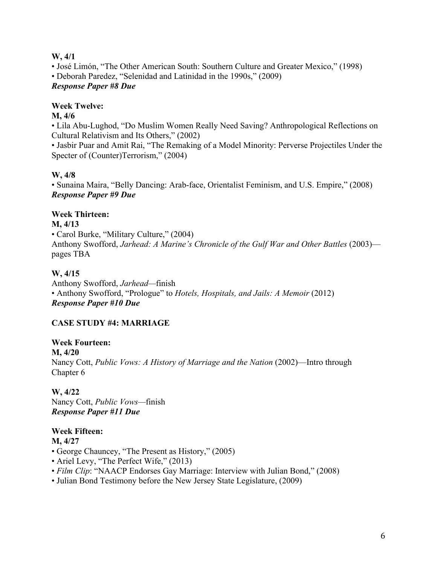#### **W, 4/1**

• José Limón, "The Other American South: Southern Culture and Greater Mexico," (1998) • Deborah Paredez, "Selenidad and Latinidad in the 1990s," (2009) *Response Paper #8 Due*

## **Week Twelve:**

## **M, 4/6**

• Lila Abu-Lughod, "Do Muslim Women Really Need Saving? Anthropological Reflections on Cultural Relativism and Its Others," (2002)

• Jasbir Puar and Amit Rai, "The Remaking of a Model Minority: Perverse Projectiles Under the Specter of (Counter)Terrorism," (2004)

## **W, 4/8**

• Sunaina Maira, "Belly Dancing: Arab-face, Orientalist Feminism, and U.S. Empire," (2008) *Response Paper #9 Due*

## **Week Thirteen:**

### **M, 4/13**

• Carol Burke, "Military Culture," (2004) Anthony Swofford, *Jarhead: A Marine's Chronicle of the Gulf War and Other Battles* (2003) pages TBA

### **W, 4/15**

Anthony Swofford, *Jarhead—*finish • Anthony Swofford, "Prologue" to *Hotels, Hospitals, and Jails: A Memoir* (2012) *Response Paper #10 Due*

### **CASE STUDY #4: MARRIAGE**

**Week Fourteen: M, 4/20** Nancy Cott, *Public Vows: A History of Marriage and the Nation* (2002)—Intro through Chapter 6

**W, 4/22** Nancy Cott, *Public Vows—*finish *Response Paper #11 Due*

# **Week Fifteen:**

#### **M, 4/27**

- George Chauncey, "The Present as History," (2005)
- Ariel Levy, "The Perfect Wife," (2013)
- *Film Clip*: "NAACP Endorses Gay Marriage: Interview with Julian Bond," (2008)
- Julian Bond Testimony before the New Jersey State Legislature, (2009)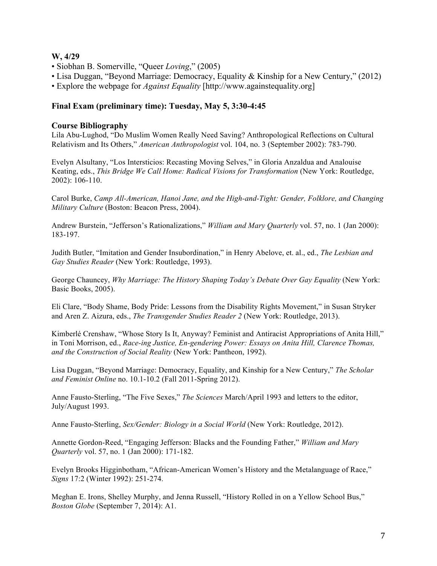#### **W, 4/29**

- Siobhan B. Somerville, "Queer *Loving*," (2005)
- Lisa Duggan, "Beyond Marriage: Democracy, Equality & Kinship for a New Century," (2012)
- Explore the webpage for *Against Equality* [http://www.againstequality.org]

#### **Final Exam (preliminary time): Tuesday, May 5, 3:30-4:45**

#### **Course Bibliography**

Lila Abu-Lughod, "Do Muslim Women Really Need Saving? Anthropological Reflections on Cultural Relativism and Its Others," *American Anthropologist* vol. 104, no. 3 (September 2002): 783-790.

Evelyn Alsultany, "Los Intersticios: Recasting Moving Selves," in Gloria Anzaldua and Analouise Keating, eds., *This Bridge We Call Home: Radical Visions for Transformation* (New York: Routledge, 2002): 106-110.

Carol Burke, *Camp All-American, Hanoi Jane, and the High-and-Tight: Gender, Folklore, and Changing Military Culture* (Boston: Beacon Press, 2004).

Andrew Burstein, "Jefferson's Rationalizations," *William and Mary Quarterly* vol. 57, no. 1 (Jan 2000): 183-197.

Judith Butler, "Imitation and Gender Insubordination," in Henry Abelove, et. al., ed., *The Lesbian and Gay Studies Reader* (New York: Routledge, 1993).

George Chauncey, *Why Marriage: The History Shaping Today's Debate Over Gay Equality* (New York: Basic Books, 2005).

Eli Clare, "Body Shame, Body Pride: Lessons from the Disability Rights Movement," in Susan Stryker and Aren Z. Aizura, eds., *The Transgender Studies Reader 2* (New York: Routledge, 2013).

Kimberlé Crenshaw, "Whose Story Is It, Anyway? Feminist and Antiracist Appropriations of Anita Hill," in Toni Morrison, ed., *Race-ing Justice, En-gendering Power: Essays on Anita Hill, Clarence Thomas, and the Construction of Social Reality* (New York: Pantheon, 1992).

Lisa Duggan, "Beyond Marriage: Democracy, Equality, and Kinship for a New Century," *The Scholar and Feminist Online* no. 10.1-10.2 (Fall 2011-Spring 2012).

Anne Fausto-Sterling, "The Five Sexes," *The Sciences* March/April 1993 and letters to the editor, July/August 1993.

Anne Fausto-Sterling, *Sex/Gender: Biology in a Social World* (New York: Routledge, 2012).

Annette Gordon-Reed, "Engaging Jefferson: Blacks and the Founding Father," *William and Mary Quarterly* vol. 57, no. 1 (Jan 2000): 171-182.

Evelyn Brooks Higginbotham, "African-American Women's History and the Metalanguage of Race," *Signs* 17:2 (Winter 1992): 251-274.

Meghan E. Irons, Shelley Murphy, and Jenna Russell, "History Rolled in on a Yellow School Bus," *Boston Globe* (September 7, 2014): A1.